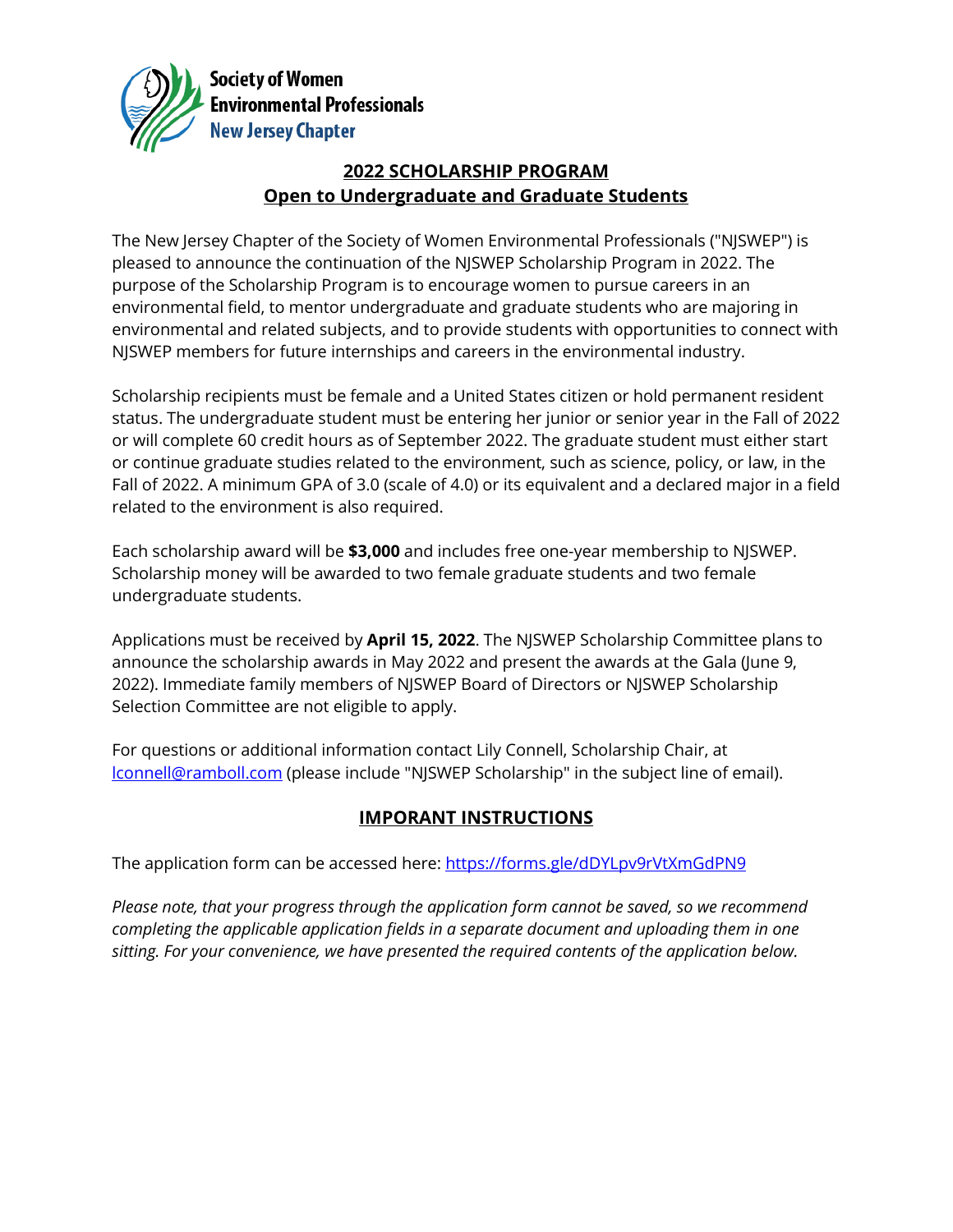

## **2022 SCHOLARSHIP PROGRAM Open to Undergraduate and Graduate Students**

The New Jersey Chapter of the Society of Women Environmental Professionals ("NJSWEP") is pleased to announce the continuation of the NJSWEP Scholarship Program in 2022. The purpose of the Scholarship Program is to encourage women to pursue careers in an environmental field, to mentor undergraduate and graduate students who are majoring in environmental and related subjects, and to provide students with opportunities to connect with NJSWEP members for future internships and careers in the environmental industry.

Scholarship recipients must be female and a United States citizen or hold permanent resident status. The undergraduate student must be entering her junior or senior year in the Fall of 2022 or will complete 60 credit hours as of September 2022. The graduate student must either start or continue graduate studies related to the environment, such as science, policy, or law, in the Fall of 2022. A minimum GPA of 3.0 (scale of 4.0) or its equivalent and a declared major in a field related to the environment is also required.

Each scholarship award will be **\$3,000** and includes free one-year membership to NJSWEP. Scholarship money will be awarded to two female graduate students and two female undergraduate students.

Applications must be received by **April 15, 2022**. The NJSWEP Scholarship Committee plans to announce the scholarship awards in May 2022 and present the awards at the Gala (June 9, 2022). Immediate family members of NJSWEP Board of Directors or NJSWEP Scholarship Selection Committee are not eligible to apply.

For questions or additional information contact Lily Connell, Scholarship Chair, at [lconnell@ramboll.com](mailto:lconnell@ramboll.com) (please include "NJSWEP Scholarship" in the subject line of email).

# **IMPORANT INSTRUCTIONS**

The application form can be accessed here: <https://forms.gle/dDYLpv9rVtXmGdPN9>

*Please note, that your progress through the application form cannot be saved, so we recommend completing the applicable application fields in a separate document and uploading them in one sitting. For your convenience, we have presented the required contents of the application below.*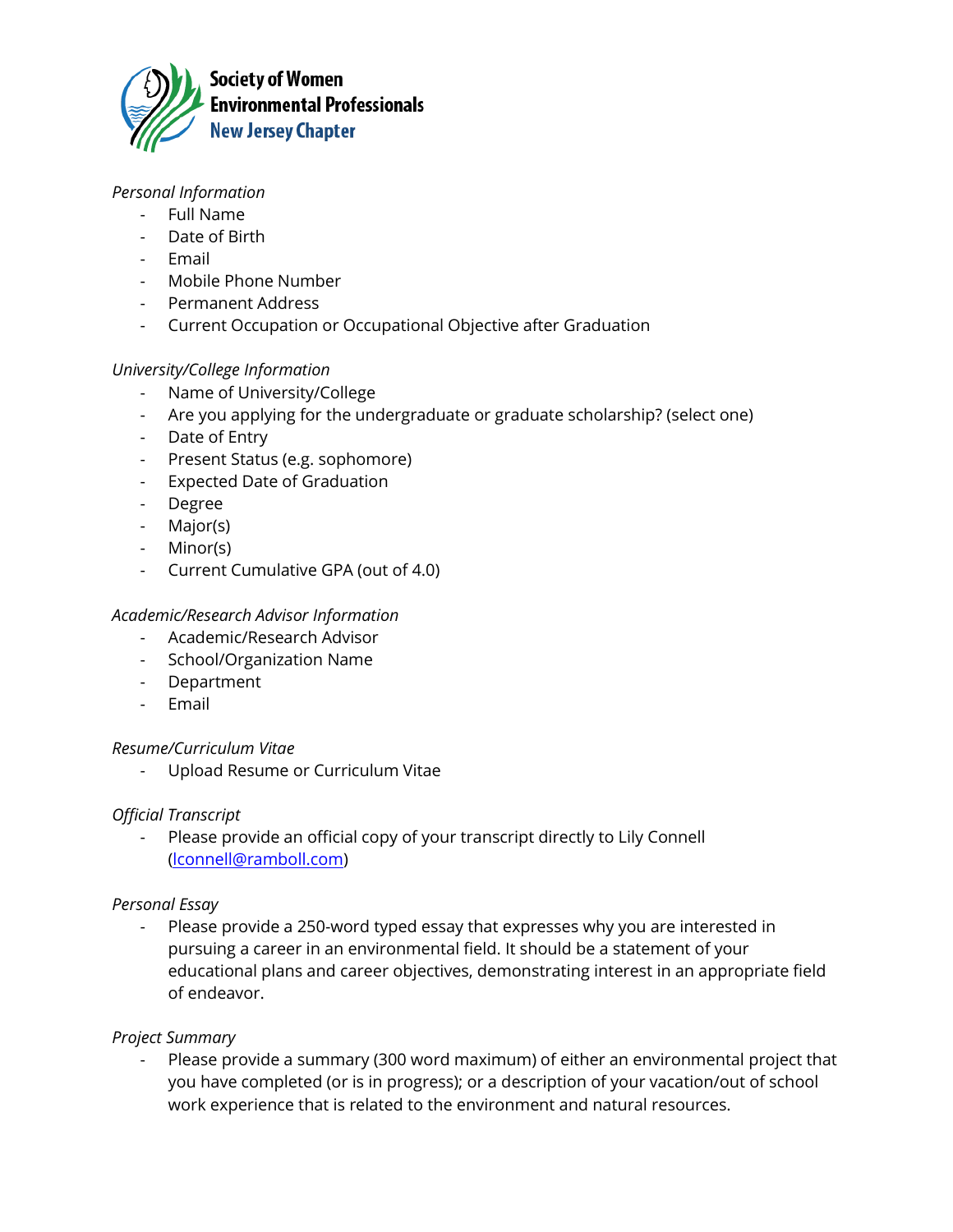

### *Personal Information*

- Full Name
- Date of Birth
- Email
- Mobile Phone Number
- Permanent Address
- Current Occupation or Occupational Objective after Graduation

#### *University/College Information*

- Name of University/College
- Are you applying for the undergraduate or graduate scholarship? (select one)
- Date of Entry
- Present Status (e.g. sophomore)
- Expected Date of Graduation
- Degree
- Major(s)
- Minor(s)
- Current Cumulative GPA (out of 4.0)

#### *Academic/Research Advisor Information*

- Academic/Research Advisor
- School/Organization Name
- Department
- Email

#### *Resume/Curriculum Vitae*

- Upload Resume or Curriculum Vitae

#### *Official Transcript*

Please provide an official copy of your transcript directly to Lily Connell [\(lconnell@ramboll.com\)](mailto:lconnell@ramboll.com)

#### *Personal Essay*

Please provide a 250-word typed essay that expresses why you are interested in pursuing a career in an environmental field. It should be a statement of your educational plans and career objectives, demonstrating interest in an appropriate field of endeavor.

#### *Project Summary*

Please provide a summary (300 word maximum) of either an environmental project that you have completed (or is in progress); or a description of your vacation/out of school work experience that is related to the environment and natural resources.